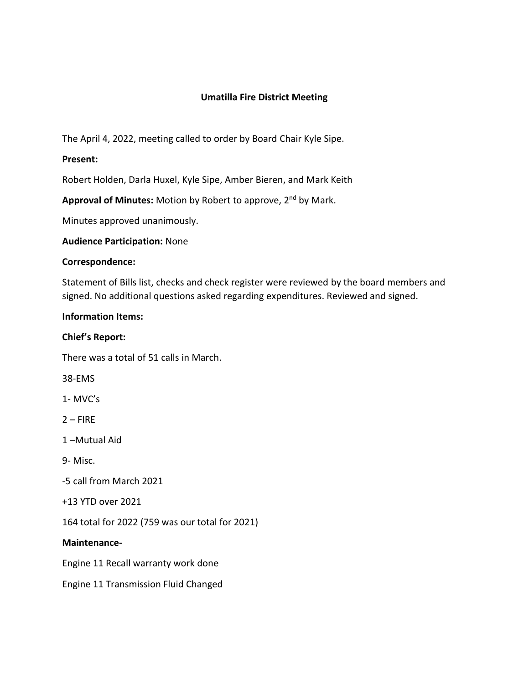# **Umatilla Fire District Meeting**

The April 4, 2022, meeting called to order by Board Chair Kyle Sipe.

# **Present:**

Robert Holden, Darla Huxel, Kyle Sipe, Amber Bieren, and Mark Keith

Approval of Minutes: Motion by Robert to approve, 2<sup>nd</sup> by Mark.

Minutes approved unanimously.

#### **Audience Participation:** None

#### **Correspondence:**

Statement of Bills list, checks and check register were reviewed by the board members and signed. No additional questions asked regarding expenditures. Reviewed and signed.

#### **Information Items:**

# **Chief's Report:**

There was a total of 51 calls in March.

38-EMS

1- MVC's

 $2 -$ FIRE

1 –Mutual Aid

9- Misc.

-5 call from March 2021

+13 YTD over 2021

164 total for 2022 (759 was our total for 2021)

#### **Maintenance-**

Engine 11 Recall warranty work done

Engine 11 Transmission Fluid Changed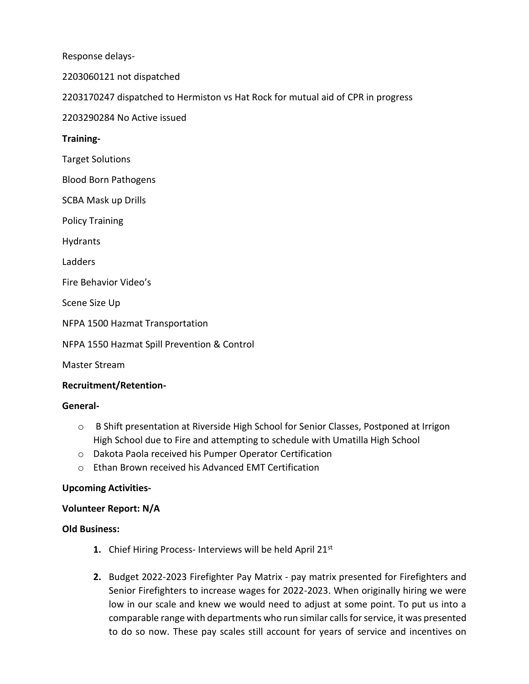Response delays-

2203060121 not dispatched

2203170247 dispatched to Hermiston vs Hat Rock for mutual aid of CPR in progress

2203290284 No Active issued

# **Training-**

Target Solutions

Blood Born Pathogens

SCBA Mask up Drills

Policy Training

Hydrants

Ladders

Fire Behavior Video's

Scene Size Up

NFPA 1500 Hazmat Transportation

NFPA 1550 Hazmat Spill Prevention & Control

Master Stream

#### **Recruitment/Retention-**

#### **General-**

- o B Shift presentation at Riverside High School for Senior Classes, Postponed at Irrigon High School due to Fire and attempting to schedule with Umatilla High School
- o Dakota Paola received his Pumper Operator Certification
- o Ethan Brown received his Advanced EMT Certification

#### **Upcoming Activities-**

#### **Volunteer Report: N/A**

#### **Old Business:**

- **1.** Chief Hiring Process- Interviews will be held April 21st
- **2.** Budget 2022-2023 Firefighter Pay Matrix pay matrix presented for Firefighters and Senior Firefighters to increase wages for 2022-2023. When originally hiring we were low in our scale and knew we would need to adjust at some point. To put us into a comparable range with departments who run similar callsfor service, it was presented to do so now. These pay scales still account for years of service and incentives on